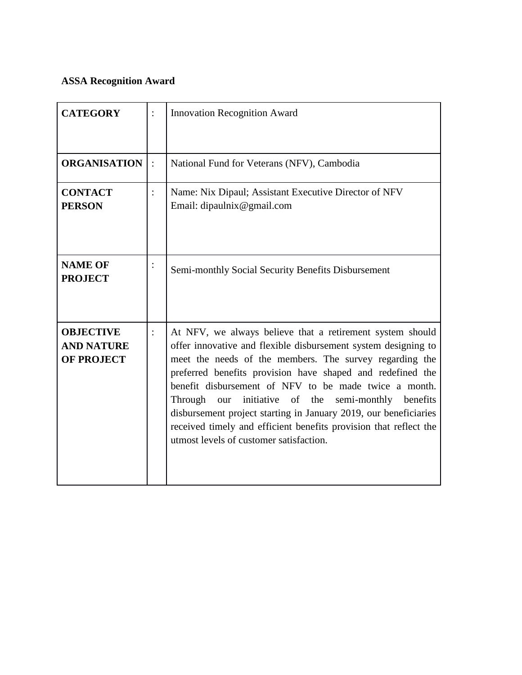## **ASSA Recognition Award**

| <b>CATEGORY</b>                                            | <b>Innovation Recognition Award</b>                                                                                                                                                                                                                                                                                                                                                                                                                                                                                                                               |
|------------------------------------------------------------|-------------------------------------------------------------------------------------------------------------------------------------------------------------------------------------------------------------------------------------------------------------------------------------------------------------------------------------------------------------------------------------------------------------------------------------------------------------------------------------------------------------------------------------------------------------------|
| <b>ORGANISATION</b>                                        | National Fund for Veterans (NFV), Cambodia                                                                                                                                                                                                                                                                                                                                                                                                                                                                                                                        |
| <b>CONTACT</b><br><b>PERSON</b>                            | Name: Nix Dipaul; Assistant Executive Director of NFV<br>Email: dipaulnix@gmail.com                                                                                                                                                                                                                                                                                                                                                                                                                                                                               |
| <b>NAME OF</b><br><b>PROJECT</b>                           | Semi-monthly Social Security Benefits Disbursement                                                                                                                                                                                                                                                                                                                                                                                                                                                                                                                |
| <b>OBJECTIVE</b><br><b>AND NATURE</b><br><b>OF PROJECT</b> | At NFV, we always believe that a retirement system should<br>offer innovative and flexible disbursement system designing to<br>meet the needs of the members. The survey regarding the<br>preferred benefits provision have shaped and redefined the<br>benefit disbursement of NFV to be made twice a month.<br>initiative of the<br>semi-monthly benefits<br>Through<br>our<br>disbursement project starting in January 2019, our beneficiaries<br>received timely and efficient benefits provision that reflect the<br>utmost levels of customer satisfaction. |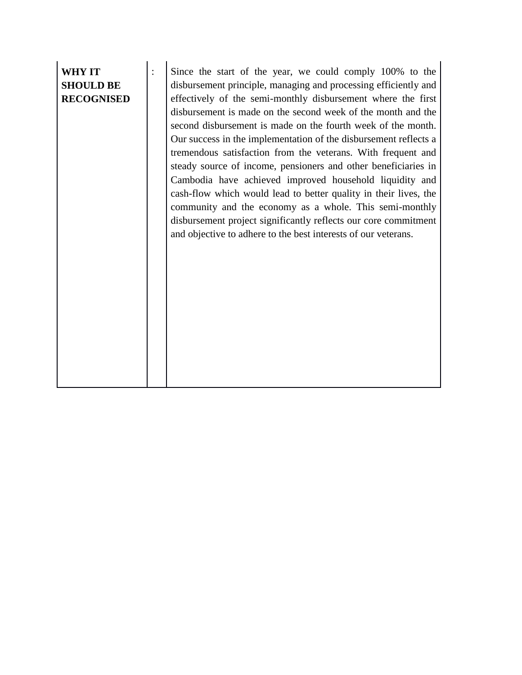## **WHY IT SHOULD BE RECOGNISED**

: Since the start of the year, we could comply 100% to the disbursement principle, managing and processing efficiently and effectively of the semi-monthly disbursement where the first disbursement is made on the second week of the month and the second disbursement is made on the fourth week of the month. Our success in the implementation of the disbursement reflects a tremendous satisfaction from the veterans. With frequent and steady source of income, pensioners and other beneficiaries in Cambodia have achieved improved household liquidity and cash-flow which would lead to better quality in their lives, the community and the economy as a whole. This semi-monthly disbursement project significantly reflects our core commitment and objective to adhere to the best interests of our veterans.